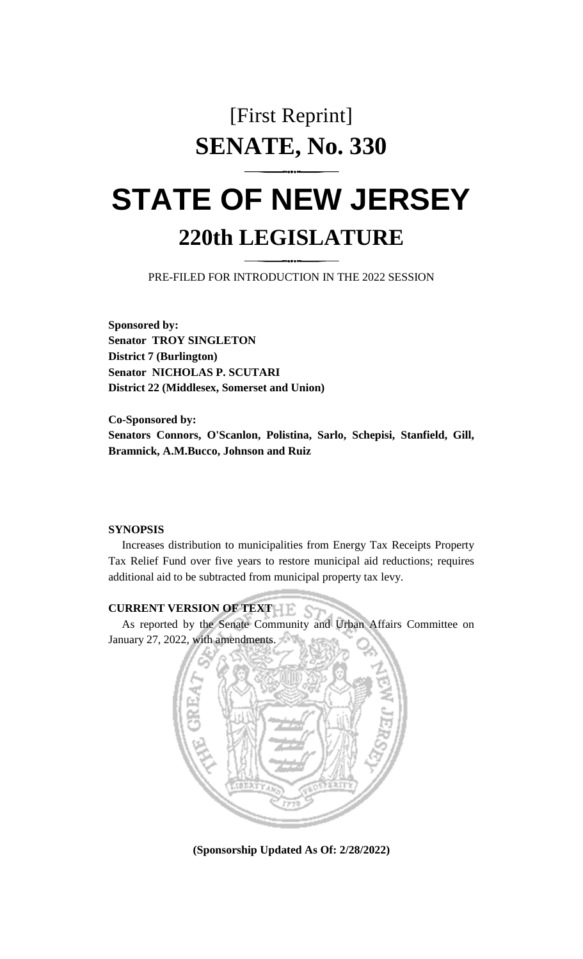## [First Reprint] **SENATE, No. 330**

# **STATE OF NEW JERSEY 220th LEGISLATURE**

PRE-FILED FOR INTRODUCTION IN THE 2022 SESSION

**Sponsored by: Senator TROY SINGLETON District 7 (Burlington) Senator NICHOLAS P. SCUTARI District 22 (Middlesex, Somerset and Union)**

**Co-Sponsored by: Senators Connors, O'Scanlon, Polistina, Sarlo, Schepisi, Stanfield, Gill, Bramnick, A.M.Bucco, Johnson and Ruiz**

#### **SYNOPSIS**

Increases distribution to municipalities from Energy Tax Receipts Property Tax Relief Fund over five years to restore municipal aid reductions; requires additional aid to be subtracted from municipal property tax levy.

### **CURRENT VERSION OF TEXT**

As reported by the Senate Community and Urban Affairs Committee on January 27, 2022, with amendments.



**(Sponsorship Updated As Of: 2/28/2022)**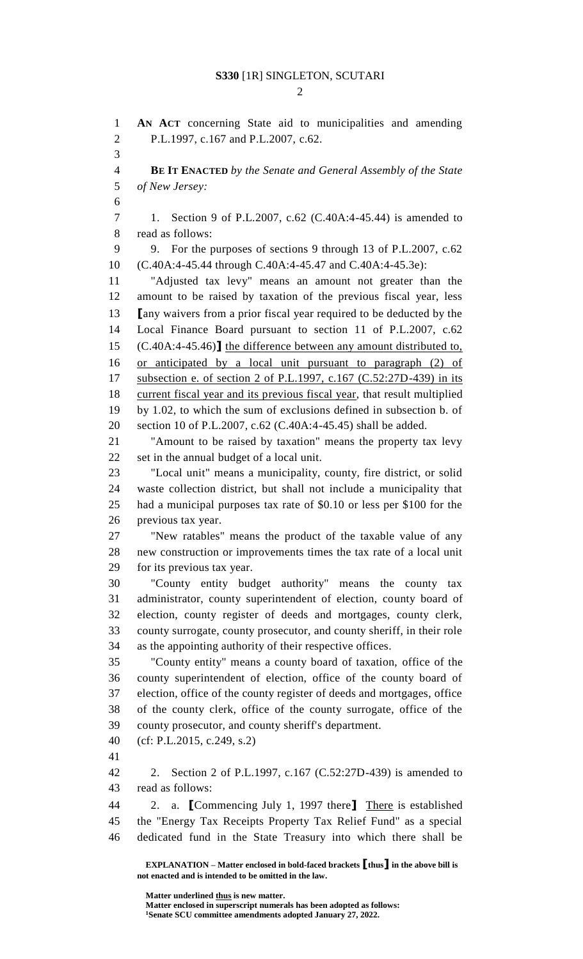$\mathcal{D}_{\mathcal{L}}$ 

 **AN ACT** concerning State aid to municipalities and amending P.L.1997, c.167 and P.L.2007, c.62. **BE IT ENACTED** *by the Senate and General Assembly of the State of New Jersey:* 1. Section 9 of P.L.2007, c.62 (C.40A:4-45.44) is amended to read as follows: 9. For the purposes of sections 9 through 13 of P.L.2007, c.62 (C.40A:4-45.44 through C.40A:4-45.47 and C.40A:4-45.3e): "Adjusted tax levy" means an amount not greater than the amount to be raised by taxation of the previous fiscal year, less **[**any waivers from a prior fiscal year required to be deducted by the Local Finance Board pursuant to section 11 of P.L.2007, c.62 (C.40A:4-45.46)**]** the difference between any amount distributed to, or anticipated by a local unit pursuant to paragraph (2) of subsection e. of section 2 of P.L.1997, c.167 (C.52:27D-439) in its 18 current fiscal year and its previous fiscal year, that result multiplied by 1.02, to which the sum of exclusions defined in subsection b. of section 10 of P.L.2007, c.62 (C.40A:4-45.45) shall be added. "Amount to be raised by taxation" means the property tax levy set in the annual budget of a local unit. "Local unit" means a municipality, county, fire district, or solid waste collection district, but shall not include a municipality that had a municipal purposes tax rate of \$0.10 or less per \$100 for the previous tax year. "New ratables" means the product of the taxable value of any new construction or improvements times the tax rate of a local unit for its previous tax year. "County entity budget authority" means the county tax administrator, county superintendent of election, county board of election, county register of deeds and mortgages, county clerk, county surrogate, county prosecutor, and county sheriff, in their role as the appointing authority of their respective offices. "County entity" means a county board of taxation, office of the county superintendent of election, office of the county board of election, office of the county register of deeds and mortgages, office of the county clerk, office of the county surrogate, office of the county prosecutor, and county sheriff's department. (cf: P.L.2015, c.249, s.2) 2. Section 2 of P.L.1997, c.167 (C.52:27D-439) is amended to read as follows: 2. a. **[**Commencing July 1, 1997 there**]** There is established the "Energy Tax Receipts Property Tax Relief Fund" as a special dedicated fund in the State Treasury into which there shall be

**EXPLANATION – Matter enclosed in bold-faced brackets [thus] in the above bill is not enacted and is intended to be omitted in the law.**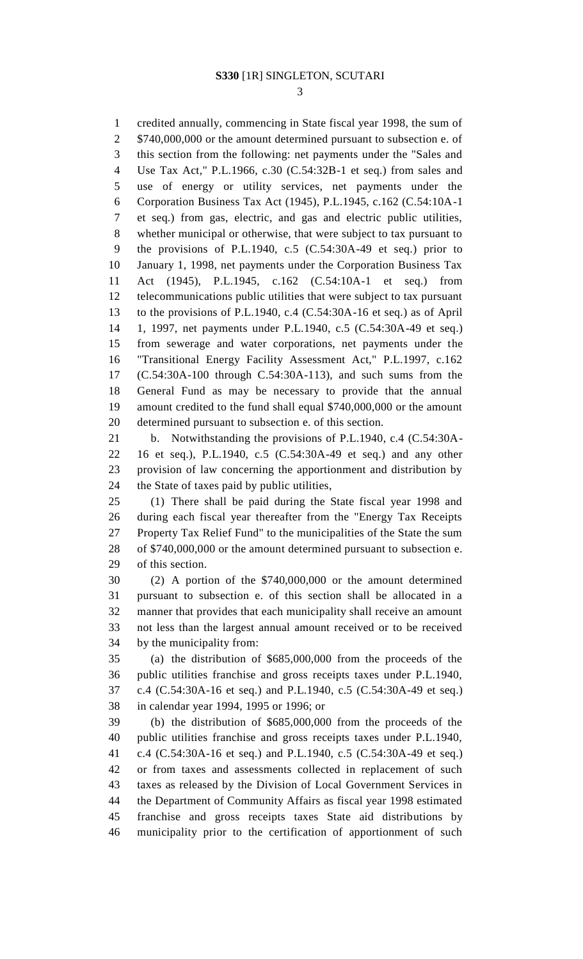credited annually, commencing in State fiscal year 1998, the sum of 2 \$740,000,000 or the amount determined pursuant to subsection e. of this section from the following: net payments under the "Sales and Use Tax Act," P.L.1966, c.30 (C.54:32B-1 et seq.) from sales and use of energy or utility services, net payments under the Corporation Business Tax Act (1945), P.L.1945, c.162 (C.54:10A-1 et seq.) from gas, electric, and gas and electric public utilities, whether municipal or otherwise, that were subject to tax pursuant to the provisions of P.L.1940, c.5 (C.54:30A-49 et seq.) prior to January 1, 1998, net payments under the Corporation Business Tax Act (1945), P.L.1945, c.162 (C.54:10A-1 et seq.) from telecommunications public utilities that were subject to tax pursuant to the provisions of P.L.1940, c.4 (C.54:30A-16 et seq.) as of April 1, 1997, net payments under P.L.1940, c.5 (C.54:30A-49 et seq.) from sewerage and water corporations, net payments under the "Transitional Energy Facility Assessment Act," P.L.1997, c.162 (C.54:30A-100 through C.54:30A-113), and such sums from the General Fund as may be necessary to provide that the annual amount credited to the fund shall equal \$740,000,000 or the amount determined pursuant to subsection e. of this section. b. Notwithstanding the provisions of P.L.1940, c.4 (C.54:30A-

 16 et seq.), P.L.1940, c.5 (C.54:30A-49 et seq.) and any other provision of law concerning the apportionment and distribution by the State of taxes paid by public utilities,

 (1) There shall be paid during the State fiscal year 1998 and during each fiscal year thereafter from the "Energy Tax Receipts Property Tax Relief Fund" to the municipalities of the State the sum of \$740,000,000 or the amount determined pursuant to subsection e. of this section.

 (2) A portion of the \$740,000,000 or the amount determined pursuant to subsection e. of this section shall be allocated in a manner that provides that each municipality shall receive an amount not less than the largest annual amount received or to be received by the municipality from:

 (a) the distribution of \$685,000,000 from the proceeds of the public utilities franchise and gross receipts taxes under P.L.1940, c.4 (C.54:30A-16 et seq.) and P.L.1940, c.5 (C.54:30A-49 et seq.) in calendar year 1994, 1995 or 1996; or

 (b) the distribution of \$685,000,000 from the proceeds of the public utilities franchise and gross receipts taxes under P.L.1940, c.4 (C.54:30A-16 et seq.) and P.L.1940, c.5 (C.54:30A-49 et seq.) or from taxes and assessments collected in replacement of such taxes as released by the Division of Local Government Services in the Department of Community Affairs as fiscal year 1998 estimated franchise and gross receipts taxes State aid distributions by municipality prior to the certification of apportionment of such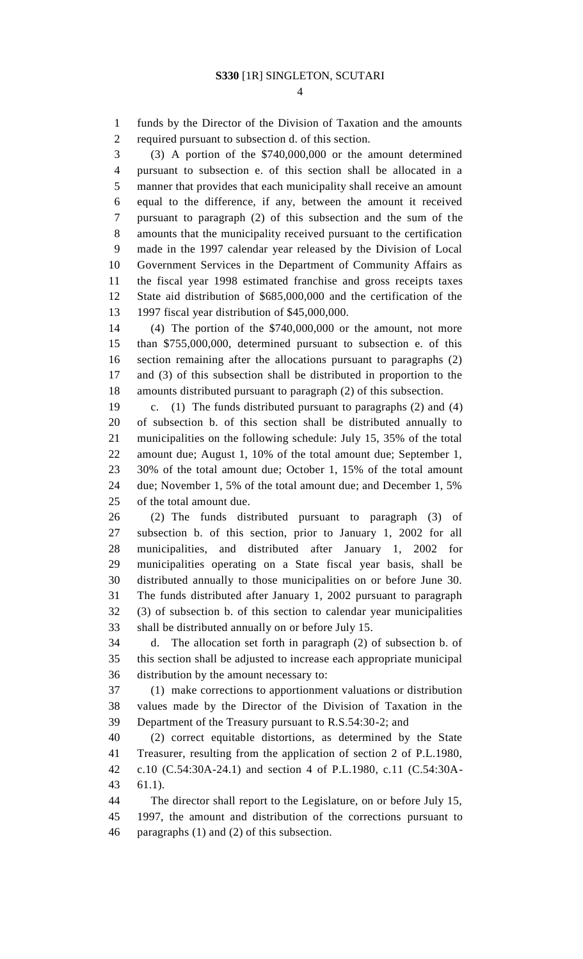funds by the Director of the Division of Taxation and the amounts required pursuant to subsection d. of this section.

 (3) A portion of the \$740,000,000 or the amount determined pursuant to subsection e. of this section shall be allocated in a manner that provides that each municipality shall receive an amount equal to the difference, if any, between the amount it received pursuant to paragraph (2) of this subsection and the sum of the amounts that the municipality received pursuant to the certification made in the 1997 calendar year released by the Division of Local Government Services in the Department of Community Affairs as the fiscal year 1998 estimated franchise and gross receipts taxes State aid distribution of \$685,000,000 and the certification of the 1997 fiscal year distribution of \$45,000,000.

 (4) The portion of the \$740,000,000 or the amount, not more than \$755,000,000, determined pursuant to subsection e. of this section remaining after the allocations pursuant to paragraphs (2) and (3) of this subsection shall be distributed in proportion to the amounts distributed pursuant to paragraph (2) of this subsection.

 c. (1) The funds distributed pursuant to paragraphs (2) and (4) of subsection b. of this section shall be distributed annually to municipalities on the following schedule: July 15, 35% of the total amount due; August 1, 10% of the total amount due; September 1, 30% of the total amount due; October 1, 15% of the total amount due; November 1, 5% of the total amount due; and December 1, 5% of the total amount due.

 (2) The funds distributed pursuant to paragraph (3) of subsection b. of this section, prior to January 1, 2002 for all municipalities, and distributed after January 1, 2002 for municipalities operating on a State fiscal year basis, shall be distributed annually to those municipalities on or before June 30. The funds distributed after January 1, 2002 pursuant to paragraph (3) of subsection b. of this section to calendar year municipalities shall be distributed annually on or before July 15.

 d. The allocation set forth in paragraph (2) of subsection b. of this section shall be adjusted to increase each appropriate municipal distribution by the amount necessary to:

 (1) make corrections to apportionment valuations or distribution values made by the Director of the Division of Taxation in the Department of the Treasury pursuant to R.S.54:30-2; and

 (2) correct equitable distortions, as determined by the State Treasurer, resulting from the application of section 2 of P.L.1980, c.10 (C.54:30A-24.1) and section 4 of P.L.1980, c.11 (C.54:30A-61.1).

The director shall report to the Legislature, on or before July 15,

 1997, the amount and distribution of the corrections pursuant to paragraphs (1) and (2) of this subsection.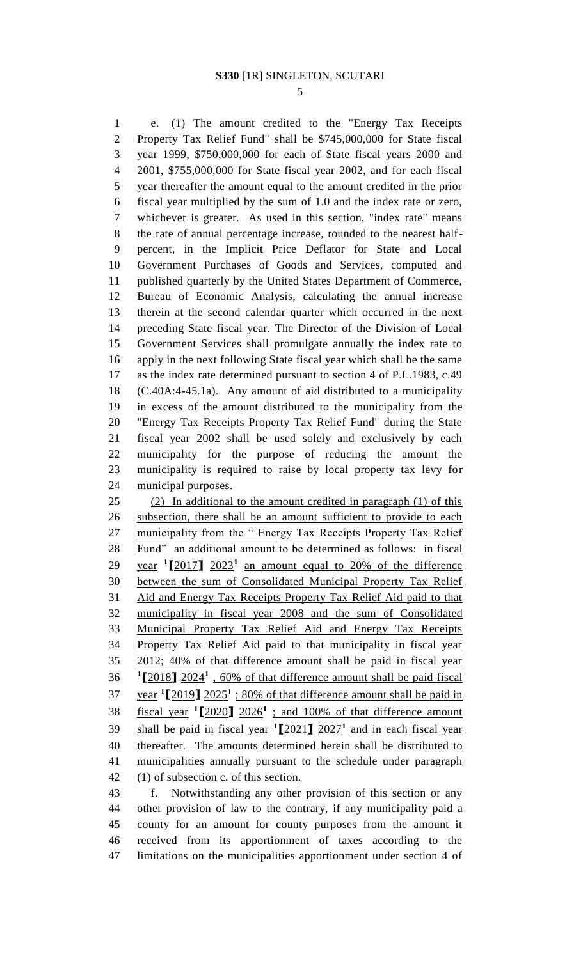e. (1) The amount credited to the "Energy Tax Receipts Property Tax Relief Fund" shall be \$745,000,000 for State fiscal year 1999, \$750,000,000 for each of State fiscal years 2000 and 2001, \$755,000,000 for State fiscal year 2002, and for each fiscal year thereafter the amount equal to the amount credited in the prior fiscal year multiplied by the sum of 1.0 and the index rate or zero, whichever is greater. As used in this section, "index rate" means the rate of annual percentage increase, rounded to the nearest half- percent, in the Implicit Price Deflator for State and Local Government Purchases of Goods and Services, computed and published quarterly by the United States Department of Commerce, Bureau of Economic Analysis, calculating the annual increase therein at the second calendar quarter which occurred in the next preceding State fiscal year. The Director of the Division of Local Government Services shall promulgate annually the index rate to apply in the next following State fiscal year which shall be the same as the index rate determined pursuant to section 4 of P.L.1983, c.49 (C.40A:4-45.1a). Any amount of aid distributed to a municipality in excess of the amount distributed to the municipality from the "Energy Tax Receipts Property Tax Relief Fund" during the State fiscal year 2002 shall be used solely and exclusively by each municipality for the purpose of reducing the amount the municipality is required to raise by local property tax levy for municipal purposes. (2) In additional to the amount credited in paragraph (1) of this subsection, there shall be an amount sufficient to provide to each

 municipality from the " Energy Tax Receipts Property Tax Relief Fund" an additional amount to be determined as follows: in fiscal 29 year  $\frac{1}{2017}$  2023<sup>1</sup> an amount equal to 20% of the difference between the sum of Consolidated Municipal Property Tax Relief Aid and Energy Tax Receipts Property Tax Relief Aid paid to that municipality in fiscal year 2008 and the sum of Consolidated Municipal Property Tax Relief Aid and Energy Tax Receipts Property Tax Relief Aid paid to that municipality in fiscal year 2012; 40% of that difference amount shall be paid in fiscal year  $2024$ <sup> $1$ </sup>,  $60\%$  of that difference amount shall be paid fiscal  $37 \text{ year}$   $12019$   $2025$ <sup> $1$ </sup>  $\div 80\%$  of that difference amount shall be paid in fiscal year  $\binom{1}{2020}$   $2026$ <sup>1</sup>; and 100% of that difference amount 39 shall be paid in fiscal year  $\binom{1}{2021}$  2027<sup>1</sup> and in each fiscal year thereafter. The amounts determined herein shall be distributed to municipalities annually pursuant to the schedule under paragraph 42 (1) of subsection c. of this section.

 f. Notwithstanding any other provision of this section or any other provision of law to the contrary, if any municipality paid a county for an amount for county purposes from the amount it received from its apportionment of taxes according to the limitations on the municipalities apportionment under section 4 of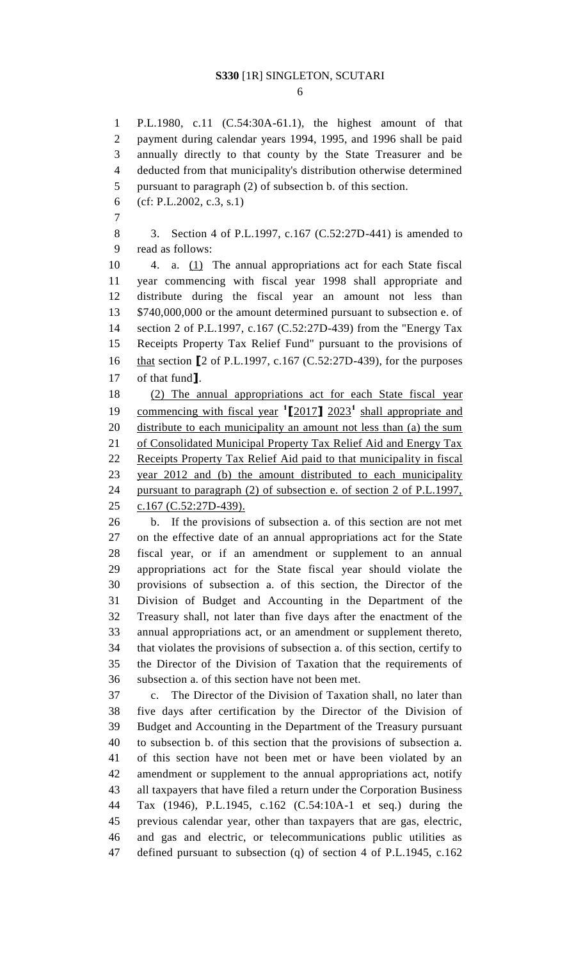P.L.1980, c.11 (C.54:30A-61.1), the highest amount of that payment during calendar years 1994, 1995, and 1996 shall be paid annually directly to that county by the State Treasurer and be deducted from that municipality's distribution otherwise determined pursuant to paragraph (2) of subsection b. of this section. (cf: P.L.2002, c.3, s.1) 3. Section 4 of P.L.1997, c.167 (C.52:27D-441) is amended to read as follows: 4. a. (1) The annual appropriations act for each State fiscal year commencing with fiscal year 1998 shall appropriate and distribute during the fiscal year an amount not less than 13 \$740,000,000 or the amount determined pursuant to subsection e. of section 2 of P.L.1997, c.167 (C.52:27D-439) from the "Energy Tax Receipts Property Tax Relief Fund" pursuant to the provisions of that section **[**2 of P.L.1997, c.167 (C.52:27D-439), for the purposes of that fund**]**. (2) The annual appropriations act for each State fiscal year 19 commencing with fiscal year  $\binom{1}{2017}$  2023<sup>1</sup> shall appropriate and 20 distribute to each municipality an amount not less than (a) the sum 21 of Consolidated Municipal Property Tax Relief Aid and Energy Tax Receipts Property Tax Relief Aid paid to that municipality in fiscal year 2012 and (b) the amount distributed to each municipality pursuant to paragraph (2) of subsection e. of section 2 of P.L.1997, c.167 (C.52:27D-439). b. If the provisions of subsection a. of this section are not met on the effective date of an annual appropriations act for the State fiscal year, or if an amendment or supplement to an annual appropriations act for the State fiscal year should violate the provisions of subsection a. of this section, the Director of the Division of Budget and Accounting in the Department of the Treasury shall, not later than five days after the enactment of the annual appropriations act, or an amendment or supplement thereto, that violates the provisions of subsection a. of this section, certify to the Director of the Division of Taxation that the requirements of subsection a. of this section have not been met. c. The Director of the Division of Taxation shall, no later than five days after certification by the Director of the Division of Budget and Accounting in the Department of the Treasury pursuant to subsection b. of this section that the provisions of subsection a. of this section have not been met or have been violated by an amendment or supplement to the annual appropriations act, notify all taxpayers that have filed a return under the Corporation Business Tax (1946), P.L.1945, c.162 (C.54:10A-1 et seq.) during the previous calendar year, other than taxpayers that are gas, electric, and gas and electric, or telecommunications public utilities as defined pursuant to subsection (q) of section 4 of P.L.1945, c.162